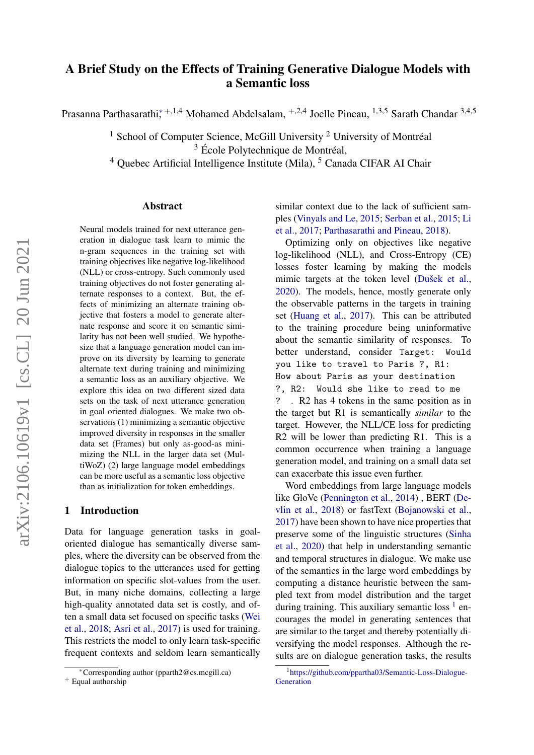# A Brief Study on the Effects of Training Generative Dialogue Models with a Semantic loss

Prasanna Parthasarathi;<sup>\*+,1,4</sup> Mohamed Abdelsalam, <sup>+,2,4</sup> Joelle Pineau, <sup>1,3,5</sup> Sarath Chandar <sup>3,4,5</sup>

<sup>1</sup> School of Computer Science, McGill University  $2$  University of Montréal

 $3 \text{ École Polytechnique}$  de Montréal,

<sup>4</sup> Ouebec Artificial Intelligence Institute (Mila), <sup>5</sup> Canada CIFAR AI Chair

### Abstract

Neural models trained for next utterance generation in dialogue task learn to mimic the n-gram sequences in the training set with training objectives like negative log-likelihood (NLL) or cross-entropy. Such commonly used training objectives do not foster generating alternate responses to a context. But, the effects of minimizing an alternate training objective that fosters a model to generate alternate response and score it on semantic similarity has not been well studied. We hypothesize that a language generation model can improve on its diversity by learning to generate alternate text during training and minimizing a semantic loss as an auxiliary objective. We explore this idea on two different sized data sets on the task of next utterance generation in goal oriented dialogues. We make two observations (1) minimizing a semantic objective improved diversity in responses in the smaller data set (Frames) but only as-good-as minimizing the NLL in the larger data set (MultiWoZ) (2) large language model embeddings can be more useful as a semantic loss objective than as initialization for token embeddings.

### <span id="page-0-1"></span>1 Introduction

Data for language generation tasks in goaloriented dialogue has semantically diverse samples, where the diversity can be observed from the dialogue topics to the utterances used for getting information on specific slot-values from the user. But, in many niche domains, collecting a large high-quality annotated data set is costly, and often a small data set focused on specific tasks [\(Wei](#page-4-0) [et al.,](#page-4-0) [2018;](#page-4-0) [Asri et al.,](#page-4-1) [2017\)](#page-4-1) is used for training. This restricts the model to only learn task-specific frequent contexts and seldom learn semantically

similar context due to the lack of sufficient samples [\(Vinyals and Le,](#page-4-2) [2015;](#page-4-2) [Serban et al.,](#page-4-3) [2015;](#page-4-3) [Li](#page-4-4) [et al.,](#page-4-4) [2017;](#page-4-4) [Parthasarathi and Pineau,](#page-4-5) [2018\)](#page-4-5).

Optimizing only on objectives like negative log-likelihood (NLL), and Cross-Entropy (CE) losses foster learning by making the models mimic targets at the token level (Dušek et al., [2020\)](#page-4-6). The models, hence, mostly generate only the observable patterns in the targets in training set [\(Huang et al.,](#page-4-7) [2017\)](#page-4-7). This can be attributed to the training procedure being uninformative about the semantic similarity of responses. To better understand, consider Target: Would you like to travel to Paris ?, R1: How about Paris as your destination ?, R2: Would she like to read to me ? . R2 has 4 tokens in the same position as in the target but R1 is semantically *similar* to the target. However, the NLL/CE loss for predicting R2 will be lower than predicting R1. This is a common occurrence when training a language generation model, and training on a small data set can exacerbate this issue even further.

Word embeddings from large language models like GloVe [\(Pennington et al.,](#page-4-8) [2014\)](#page-4-8) , BERT [\(De](#page-4-9)[vlin et al.,](#page-4-9) [2018\)](#page-4-9) or fastText [\(Bojanowski et al.,](#page-4-10) [2017\)](#page-4-10) have been shown to have nice properties that preserve some of the linguistic structures [\(Sinha](#page-4-11) [et al.,](#page-4-11) [2020\)](#page-4-11) that help in understanding semantic and temporal structures in dialogue. We make use of the semantics in the large word embeddings by computing a distance heuristic between the sampled text from model distribution and the target during training. This auxiliary semantic loss  $<sup>1</sup>$  $<sup>1</sup>$  $<sup>1</sup>$  en-</sup> courages the model in generating sentences that are similar to the target and thereby potentially diversifying the model responses. Although the results are on dialogue generation tasks, the results

<sup>∗</sup>Corresponding author (pparth2@cs.mcgill.ca)

<sup>+</sup> Equal authorship

<span id="page-0-0"></span><sup>&</sup>lt;sup>1</sup>[https://github.com/ppartha03/Semantic-Loss-Dialogue-](https://github.com/ppartha03/Semantic-Loss-Dialogue-Generation)**[Generation](https://github.com/ppartha03/Semantic-Loss-Dialogue-Generation)**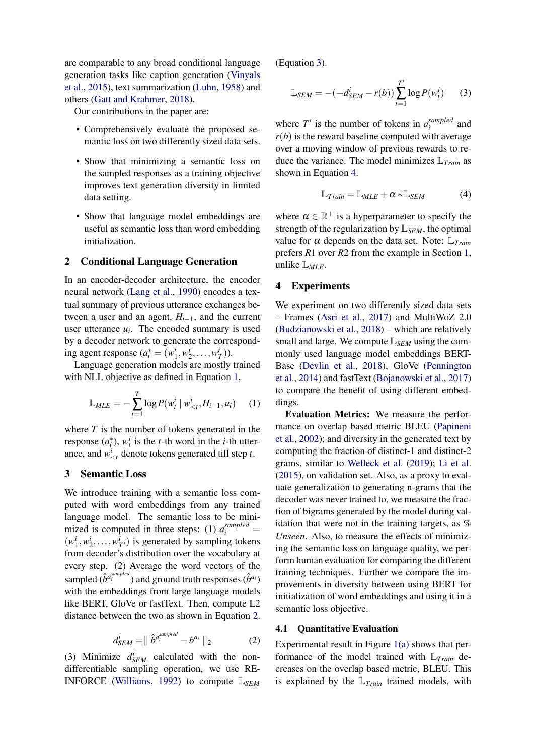are comparable to any broad conditional language generation tasks like caption generation [\(Vinyals](#page-4-12) [et al.,](#page-4-12) [2015\)](#page-4-12), text summarization [\(Luhn,](#page-4-13) [1958\)](#page-4-13) and others [\(Gatt and Krahmer,](#page-4-14) [2018\)](#page-4-14).

Our contributions in the paper are:

- Comprehensively evaluate the proposed semantic loss on two differently sized data sets.
- Show that minimizing a semantic loss on the sampled responses as a training objective improves text generation diversity in limited data setting.
- Show that language model embeddings are useful as semantic loss than word embedding initialization.

### 2 Conditional Language Generation

In an encoder-decoder architecture, the encoder neural network [\(Lang et al.,](#page-4-15) [1990\)](#page-4-15) encodes a textual summary of previous utterance exchanges between a user and an agent,  $H_{i-1}$ , and the current user utterance  $u_i$ . The encoded summary is used by a decoder network to generate the corresponding agent response  $(a_i^* = (w_1^i, w_2^i, ..., w_T^i)).$ 

Language generation models are mostly trained with NLL objective as defined in Equation [1,](#page-1-0)

$$
\mathbb{L}_{MLE} = -\sum_{t=1}^{T} \log P(w_t^i \mid w_{
$$

where  $T$  is the number of tokens generated in the response  $(a_i^*), w_t^i$  is the *t*-th word in the *i*-th utterance, and  $w_{\leq t}^i$  denote tokens generated till step *t*.

# 3 Semantic Loss

We introduce training with a semantic loss computed with word embeddings from any trained language model. The semantic loss to be minimized is computed in three steps: (1)  $a_i^{sampled}$  =  $(w_1^i, w_2^i, \dots, w_{T'}^i)$  is generated by sampling tokens from decoder's distribution over the vocabulary at every step. (2) Average the word vectors of the sampled  $(\hat{b}^{a_i^{sampled}})$  and ground truth responses  $(\hat{b}^{a_i})$ with the embeddings from large language models like BERT, GloVe or fastText. Then, compute L2 distance between the two as shown in Equation [2.](#page-1-1)

$$
d_{SEM}^i = ||\hat{b}^{a_i^{sampled}} - b^{a_i}||_2 \tag{2}
$$

<span id="page-1-1"></span>(3) Minimize  $d_{SEM}^i$  calculated with the nondifferentiable sampling operation, we use RE-INFORCE [\(Williams,](#page-5-0) [1992\)](#page-5-0) to compute L*SEM*

(Equation [3\)](#page-1-2).

<span id="page-1-2"></span>
$$
\mathbb{L}_{SEM} = -(-d_{SEM}^i - r(b)) \sum_{t=1}^{T'} \log P(w_t^i)
$$
 (3)

where  $T'$  is the number of tokens in  $a_i^{sampled}$ <sup>samplea</sup> and  $r(b)$  is the reward baseline computed with average over a moving window of previous rewards to reduce the variance. The model minimizes L*Train* as shown in Equation [4.](#page-1-3)

<span id="page-1-3"></span>
$$
\mathbb{L}_{Train} = \mathbb{L}_{MLE} + \alpha * \mathbb{L}_{SEM}
$$
 (4)

where  $\alpha \in \mathbb{R}^+$  is a hyperparameter to specify the strength of the regularization by L*SEM*, the optimal value for  $\alpha$  depends on the data set. Note:  $\mathbb{L}_{Train}$ prefers *R*1 over *R*2 from the example in Section [1,](#page-0-1) unlike L*MLE*.

# 4 Experiments

We experiment on two differently sized data sets – Frames [\(Asri et al.,](#page-4-1) [2017\)](#page-4-1) and MultiWoZ 2.0 [\(Budzianowski et al.,](#page-4-16) [2018\)](#page-4-16) – which are relatively small and large. We compute  $\mathbb{L}_{SEM}$  using the commonly used language model embeddings BERT-Base [\(Devlin et al.,](#page-4-9) [2018\)](#page-4-9), GloVe [\(Pennington](#page-4-8) [et al.,](#page-4-8) [2014\)](#page-4-8) and fastText [\(Bojanowski et al.,](#page-4-10) [2017\)](#page-4-10) to compare the benefit of using different embeddings.

<span id="page-1-0"></span>Evaluation Metrics: We measure the performance on overlap based metric BLEU [\(Papineni](#page-4-17) [et al.,](#page-4-17) [2002\)](#page-4-17); and diversity in the generated text by computing the fraction of distinct-1 and distinct-2 grams, similar to [Welleck et al.](#page-5-1) [\(2019\)](#page-5-1); [Li et al.](#page-4-18) [\(2015\)](#page-4-18), on validation set. Also, as a proxy to evaluate generalization to generating n-grams that the decoder was never trained to, we measure the fraction of bigrams generated by the model during validation that were not in the training targets, as *% Unseen*. Also, to measure the effects of minimizing the semantic loss on language quality, we perform human evaluation for comparing the different training techniques. Further we compare the improvements in diversity between using BERT for initialization of word embeddings and using it in a semantic loss objective.

#### 4.1 Quantitative Evaluation

Experimental result in Figure [1\(a\)](#page-3-0) shows that performance of the model trained with L*Train* decreases on the overlap based metric, BLEU. This is explained by the  $\mathbb{L}_{Train}$  trained models, with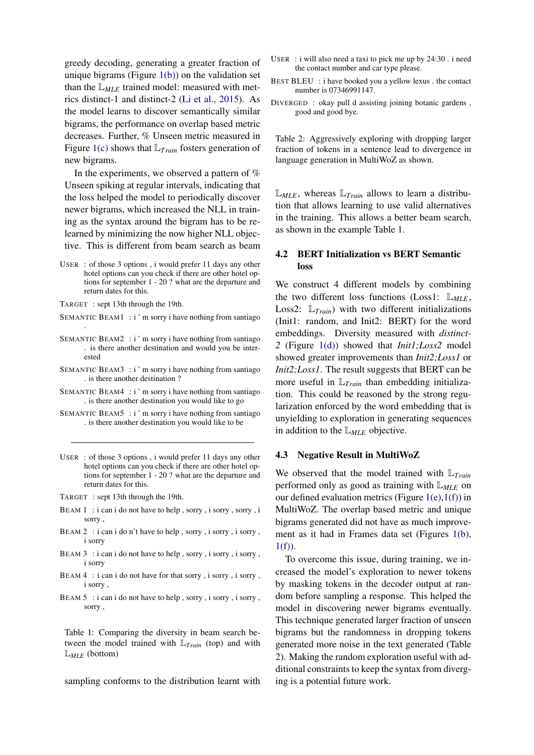greedy decoding, generating a greater fraction of unique bigrams (Figure  $1(b)$ ) on the validation set than the  $\mathbb{L}_{MLE}$  trained model: measured with metrics distinct-1 and distinct-2 [\(Li et al.,](#page-4-18) [2015\)](#page-4-18). As the model learns to discover semantically similar bigrams, the performance on overlap based metric decreases. Further, % Unseen metric measured in Figure [1\(c\)](#page-3-2) shows that L*Train* fosters generation of new bigrams.

In the experiments, we observed a pattern of % Unseen spiking at regular intervals, indicating that the loss helped the model to periodically discover newer bigrams, which increased the NLL in training as the syntax around the bigram has to be relearned by minimizing the now higher NLL objective. This is different from beam search as beam

- <span id="page-2-0"></span>USER : of those 3 options , i would prefer 11 days any other hotel options can you check if there are other hotel options for september 1 - 20 ? what are the departure and return dates for this.
- TARGET : sept 13th through the 19th.
- SEMANTIC BEAM1:  $i'$  m sorry i have nothing from santiago .
- SEMANTIC BEAM2 : i'm sorry i have nothing from santiago . is there another destination and would you be interested
- SEMANTIC BEAM3 : i'm sorry i have nothing from santiago . is there another destination ?
- SEMANTIC BEAM4 : i'm sorry i have nothing from santiago . is there another destination you would like to go
- SEMANTIC BEAM5 : i ' m sorry i have nothing from santiago . is there another destination you would like to be
- USER : of those 3 options , i would prefer 11 days any other hotel options can you check if there are other hotel options for september 1 - 20 ? what are the departure and return dates for this.
- TARGET : sept 13th through the 19th.
- BEAM 1: i can i do not have to help, sorry, i sorry, sorry, i sorry ,
- BEAM 2 : i can i do n't have to help , sorry , i sorry , i sorry , i sorry
- BEAM 3 : i can i do not have to help , sorry , i sorry , i sorry , i sorry
- BEAM 4 : i can i do not have for that sorry, i sorry, i sorry, i sorry ,
- $BEAM 5$ : i can i do not have to help, sorry, i sorry, i sorry, sorry ,

Table 1: Comparing the diversity in beam search between the model trained with L*Train* (top) and with L*MLE* (bottom)

sampling conforms to the distribution learnt with

- <span id="page-2-1"></span>USER : i will also need a taxi to pick me up by 24:30 . i need the contact number and car type please.
- BEST BLEU : i have booked you a yellow lexus . the contact number is 07346991147.
- DIVERGED : okay pull d assisting joining botanic gardens , good and good bye.

Table 2: Aggressively exploring with dropping larger fraction of tokens in a sentence lead to divergence in language generation in MultiWoZ as shown.

 $\mathbb{L}_{MLE}$ , whereas  $\mathbb{L}_{Train}$  allows to learn a distribution that allows learning to use valid alternatives in the training. This allows a better beam search, as shown in the example Table [1.](#page-2-0)

# 4.2 BERT Initialization vs BERT Semantic loss

We construct 4 different models by combining the two different loss functions (Loss1:  $\mathbb{L}_{MLE}$ , Loss2:  $\mathbb{L}_{Train}$  with two different initializations (Init1: random, and Init2: BERT) for the word embeddings. Diversity measured with *distinct-2* (Figure [1\(d\)\)](#page-3-3) showed that *Init1;Loss2* model showed greater improvements than *Init2;Loss1* or *Init2;Loss1*. The result suggests that BERT can be more useful in L*Train* than embedding initialization. This could be reasoned by the strong regularization enforced by the word embedding that is unyielding to exploration in generating sequences in addition to the L*MLE* objective.

### 4.3 Negative Result in MultiWoZ

We observed that the model trained with L*Train* performed only as good as training with  $\mathbb{L}_{MLE}$  on our defined evaluation metrics (Figure  $1(e)$ ,  $1(f)$ ) in MultiWoZ. The overlap based metric and unique bigrams generated did not have as much improvement as it had in Frames data set (Figures [1\(b\),](#page-3-1)  $1(f)$ ).

To overcome this issue, during training, we increased the model's exploration to newer tokens by masking tokens in the decoder output at random before sampling a response. This helped the model in discovering newer bigrams eventually. This technique generated larger fraction of unseen bigrams but the randomness in dropping tokens generated more noise in the text generated (Table [2\)](#page-2-1). Making the random exploration useful with additional constraints to keep the syntax from diverging is a potential future work.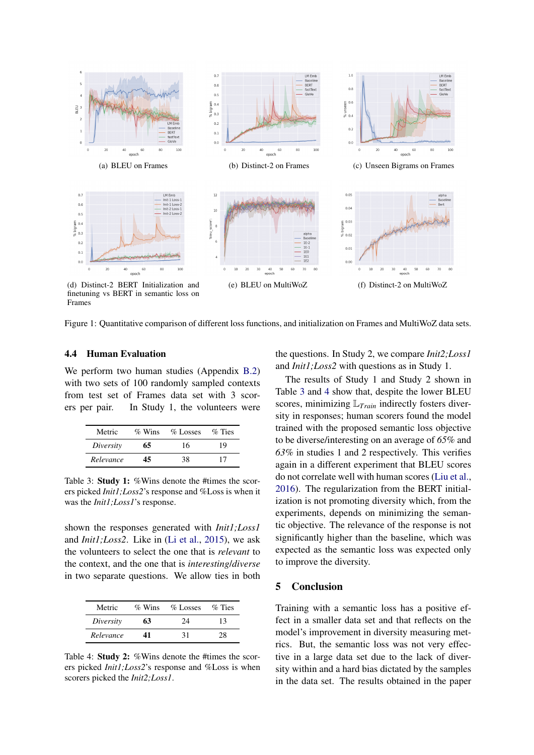<span id="page-3-3"></span><span id="page-3-1"></span><span id="page-3-0"></span>

finetuning vs BERT in semantic loss on Frames

Figure 1: Quantitative comparison of different loss functions, and initialization on Frames and MultiWoZ data sets.

### 4.4 Human Evaluation

We perform two human studies (Appendix [B.2\)](#page-5-2) with two sets of 100 randomly sampled contexts from test set of Frames data set with 3 scorers per pair. In Study 1, the volunteers were

<span id="page-3-6"></span>

| Metric    | $\%$ Wins | $\%$ Losses | $\%$ Ties |
|-----------|-----------|-------------|-----------|
| Diversity | 65        | 16          | 19        |
| Relevance | 45        | 38          | 17        |

Table 3: Study 1: %Wins denote the #times the scorers picked *Init1;Loss2*'s response and %Loss is when it was the *Init1;Loss1*'s response.

shown the responses generated with *Init1;Loss1* and *Init1;Loss2*. Like in [\(Li et al.,](#page-4-18) [2015\)](#page-4-18), we ask the volunteers to select the one that is *relevant* to the context, and the one that is *interesting*/*diverse* in two separate questions. We allow ties in both

<span id="page-3-7"></span>

| Metric    | $\%$ Wins | $\%$ Losses | $\%$ Ties |
|-----------|-----------|-------------|-----------|
| Diversity | 63        | 24          | 13        |
| Relevance | 41        | 31          | 28        |

Table 4: Study 2: %Wins denote the #times the scorers picked *Init1;Loss2*'s response and %Loss is when scorers picked the *Init2;Loss1*.

<span id="page-3-5"></span><span id="page-3-4"></span><span id="page-3-2"></span>the questions. In Study 2, we compare *Init2;Loss1* and *Init1;Loss2* with questions as in Study 1.

The results of Study 1 and Study 2 shown in Table [3](#page-3-6) and [4](#page-3-7) show that, despite the lower BLEU scores, minimizing L*Train* indirectly fosters diversity in responses; human scorers found the model trained with the proposed semantic loss objective to be diverse/interesting on an average of *65%* and *63%* in studies 1 and 2 respectively. This verifies again in a different experiment that BLEU scores do not correlate well with human scores [\(Liu et al.,](#page-4-19) [2016\)](#page-4-19). The regularization from the BERT initialization is not promoting diversity which, from the experiments, depends on minimizing the semantic objective. The relevance of the response is not significantly higher than the baseline, which was expected as the semantic loss was expected only to improve the diversity.

# 5 Conclusion

Training with a semantic loss has a positive effect in a smaller data set and that reflects on the model's improvement in diversity measuring metrics. But, the semantic loss was not very effective in a large data set due to the lack of diversity within and a hard bias dictated by the samples in the data set. The results obtained in the paper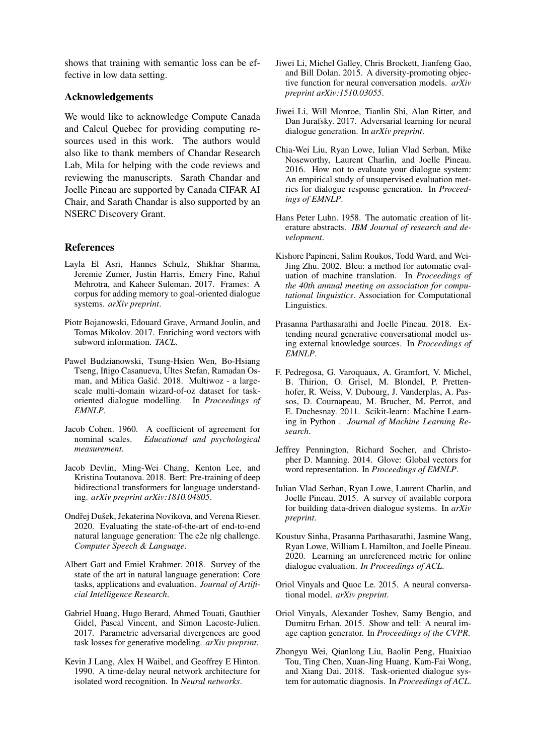shows that training with semantic loss can be effective in low data setting.

# Acknowledgements

We would like to acknowledge Compute Canada and Calcul Quebec for providing computing resources used in this work. The authors would also like to thank members of Chandar Research Lab, Mila for helping with the code reviews and reviewing the manuscripts. Sarath Chandar and Joelle Pineau are supported by Canada CIFAR AI Chair, and Sarath Chandar is also supported by an NSERC Discovery Grant.

# References

- <span id="page-4-1"></span>Layla El Asri, Hannes Schulz, Shikhar Sharma, Jeremie Zumer, Justin Harris, Emery Fine, Rahul Mehrotra, and Kaheer Suleman. 2017. Frames: A corpus for adding memory to goal-oriented dialogue systems. *arXiv preprint*.
- <span id="page-4-10"></span>Piotr Bojanowski, Edouard Grave, Armand Joulin, and Tomas Mikolov. 2017. Enriching word vectors with subword information. *TACL*.
- <span id="page-4-16"></span>Paweł Budzianowski, Tsung-Hsien Wen, Bo-Hsiang Tseng, Iñigo Casanueva, Ultes Stefan, Ramadan Osman, and Milica Gašić. 2018. Multiwoz - a largescale multi-domain wizard-of-oz dataset for taskoriented dialogue modelling. In *Proceedings of EMNLP*.
- <span id="page-4-20"></span>Jacob Cohen. 1960. A coefficient of agreement for nominal scales. *Educational and psychological measurement*.
- <span id="page-4-9"></span>Jacob Devlin, Ming-Wei Chang, Kenton Lee, and Kristina Toutanova. 2018. Bert: Pre-training of deep bidirectional transformers for language understanding. *arXiv preprint arXiv:1810.04805*.
- <span id="page-4-6"></span>Ondřej Dušek, Jekaterina Novikova, and Verena Rieser. 2020. Evaluating the state-of-the-art of end-to-end natural language generation: The e2e nlg challenge. *Computer Speech & Language*.
- <span id="page-4-14"></span>Albert Gatt and Emiel Krahmer. 2018. Survey of the state of the art in natural language generation: Core tasks, applications and evaluation. *Journal of Artificial Intelligence Research*.
- <span id="page-4-7"></span>Gabriel Huang, Hugo Berard, Ahmed Touati, Gauthier Gidel, Pascal Vincent, and Simon Lacoste-Julien. 2017. Parametric adversarial divergences are good task losses for generative modeling. *arXiv preprint*.
- <span id="page-4-15"></span>Kevin J Lang, Alex H Waibel, and Geoffrey E Hinton. 1990. A time-delay neural network architecture for isolated word recognition. In *Neural networks*.
- <span id="page-4-18"></span>Jiwei Li, Michel Galley, Chris Brockett, Jianfeng Gao, and Bill Dolan. 2015. A diversity-promoting objective function for neural conversation models. *arXiv preprint arXiv:1510.03055*.
- <span id="page-4-4"></span>Jiwei Li, Will Monroe, Tianlin Shi, Alan Ritter, and Dan Jurafsky. 2017. Adversarial learning for neural dialogue generation. In *arXiv preprint*.
- <span id="page-4-19"></span>Chia-Wei Liu, Ryan Lowe, Iulian Vlad Serban, Mike Noseworthy, Laurent Charlin, and Joelle Pineau. 2016. How not to evaluate your dialogue system: An empirical study of unsupervised evaluation metrics for dialogue response generation. In *Proceedings of EMNLP*.
- <span id="page-4-13"></span>Hans Peter Luhn. 1958. The automatic creation of literature abstracts. *IBM Journal of research and development*.
- <span id="page-4-17"></span>Kishore Papineni, Salim Roukos, Todd Ward, and Wei-Jing Zhu. 2002. Bleu: a method for automatic evaluation of machine translation. In *Proceedings of the 40th annual meeting on association for computational linguistics*. Association for Computational Linguistics.
- <span id="page-4-5"></span>Prasanna Parthasarathi and Joelle Pineau. 2018. Extending neural generative conversational model using external knowledge sources. In *Proceedings of EMNLP*.
- <span id="page-4-21"></span>F. Pedregosa, G. Varoquaux, A. Gramfort, V. Michel, B. Thirion, O. Grisel, M. Blondel, P. Prettenhofer, R. Weiss, V. Dubourg, J. Vanderplas, A. Passos, D. Cournapeau, M. Brucher, M. Perrot, and E. Duchesnay. 2011. Scikit-learn: Machine Learning in Python . *Journal of Machine Learning Research*.
- <span id="page-4-8"></span>Jeffrey Pennington, Richard Socher, and Christopher D. Manning. 2014. Glove: Global vectors for word representation. In *Proceedings of EMNLP*.
- <span id="page-4-3"></span>Iulian Vlad Serban, Ryan Lowe, Laurent Charlin, and Joelle Pineau. 2015. A survey of available corpora for building data-driven dialogue systems. In *arXiv preprint*.
- <span id="page-4-11"></span>Koustuv Sinha, Prasanna Parthasarathi, Jasmine Wang, Ryan Lowe, William L Hamilton, and Joelle Pineau. 2020. Learning an unreferenced metric for online dialogue evaluation. *In Proceedings of ACL*.
- <span id="page-4-2"></span>Oriol Vinyals and Quoc Le. 2015. A neural conversational model. *arXiv preprint*.
- <span id="page-4-12"></span>Oriol Vinyals, Alexander Toshev, Samy Bengio, and Dumitru Erhan. 2015. Show and tell: A neural image caption generator. In *Proceedings of the CVPR*.
- <span id="page-4-0"></span>Zhongyu Wei, Qianlong Liu, Baolin Peng, Huaixiao Tou, Ting Chen, Xuan-Jing Huang, Kam-Fai Wong, and Xiang Dai. 2018. Task-oriented dialogue system for automatic diagnosis. In *Proceedings of ACL*.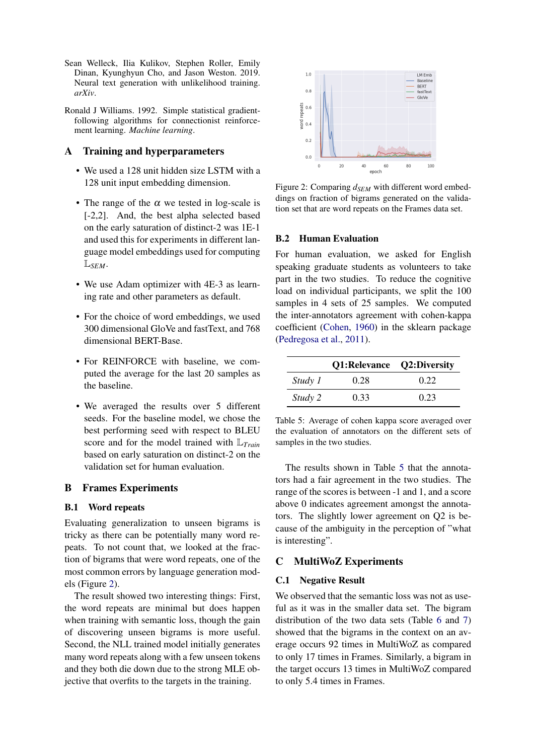- <span id="page-5-1"></span>Sean Welleck, Ilia Kulikov, Stephen Roller, Emily Dinan, Kyunghyun Cho, and Jason Weston. 2019. Neural text generation with unlikelihood training. *arXiv*.
- <span id="page-5-0"></span>Ronald J Williams. 1992. Simple statistical gradientfollowing algorithms for connectionist reinforcement learning. *Machine learning*.

# A Training and hyperparameters

- We used a 128 unit hidden size LSTM with a 128 unit input embedding dimension.
- The range of the  $\alpha$  we tested in log-scale is [-2,2]. And, the best alpha selected based on the early saturation of distinct-2 was 1E-1 and used this for experiments in different language model embeddings used for computing L*SEM*.
- We use Adam optimizer with 4E-3 as learning rate and other parameters as default.
- For the choice of word embeddings, we used 300 dimensional GloVe and fastText, and 768 dimensional BERT-Base.
- For REINFORCE with baseline, we computed the average for the last 20 samples as the baseline.
- We averaged the results over 5 different seeds. For the baseline model, we chose the best performing seed with respect to BLEU score and for the model trained with L*Train* based on early saturation on distinct-2 on the validation set for human evaluation.

# B Frames Experiments

# B.1 Word repeats

Evaluating generalization to unseen bigrams is tricky as there can be potentially many word repeats. To not count that, we looked at the fraction of bigrams that were word repeats, one of the most common errors by language generation models (Figure [2\)](#page-5-3).

The result showed two interesting things: First, the word repeats are minimal but does happen when training with semantic loss, though the gain of discovering unseen bigrams is more useful. Second, the NLL trained model initially generates many word repeats along with a few unseen tokens and they both die down due to the strong MLE objective that overfits to the targets in the training.

<span id="page-5-3"></span>

Figure 2: Comparing  $d_{SEM}$  with different word embeddings on fraction of bigrams generated on the validation set that are word repeats on the Frames data set.

### <span id="page-5-2"></span>B.2 Human Evaluation

For human evaluation, we asked for English speaking graduate students as volunteers to take part in the two studies. To reduce the cognitive load on individual participants, we split the 100 samples in 4 sets of 25 samples. We computed the inter-annotators agreement with cohen-kappa coefficient [\(Cohen,](#page-4-20) [1960\)](#page-4-20) in the sklearn package [\(Pedregosa et al.,](#page-4-21) [2011\)](#page-4-21).

<span id="page-5-4"></span>

|         | Q1:Relevance Q2:Diversity |      |
|---------|---------------------------|------|
| Study 1 | 0.28                      | 0.22 |
| Study 2 | 0.33                      | 0.23 |

Table 5: Average of cohen kappa score averaged over the evaluation of annotators on the different sets of samples in the two studies.

The results shown in Table [5](#page-5-4) that the annotators had a fair agreement in the two studies. The range of the scores is between -1 and 1, and a score above 0 indicates agreement amongst the annotators. The slightly lower agreement on Q2 is because of the ambiguity in the perception of "what is interesting".

# C MultiWoZ Experiments

### C.1 Negative Result

We observed that the semantic loss was not as useful as it was in the smaller data set. The bigram distribution of the two data sets (Table [6](#page-6-0) and [7\)](#page-6-1) showed that the bigrams in the context on an average occurs 92 times in MultiWoZ as compared to only 17 times in Frames. Similarly, a bigram in the target occurs 13 times in MultiWoZ compared to only 5.4 times in Frames.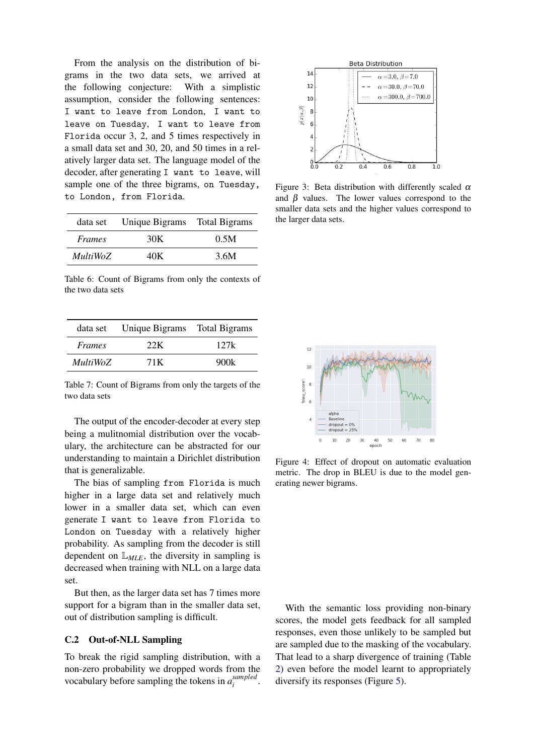From the analysis on the distribution of bigrams in the two data sets, we arrived at the following conjecture: With a simplistic assumption, consider the following sentences: I want to leave from London, I want to leave on Tuesday, I want to leave from Florida occur 3, 2, and 5 times respectively in a small data set and 30, 20, and 50 times in a relatively larger data set. The language model of the decoder, after generating I want to leave, will sample one of the three bigrams, on Tuesday, to London, from Florida.

<span id="page-6-0"></span>

| data set        | Unique Bigrams Total Bigrams |      |
|-----------------|------------------------------|------|
| <i>Frames</i>   | 30K                          | 0.5M |
| <i>MultiWoZ</i> | 40K                          | 3.6M |

Table 6: Count of Bigrams from only the contexts of the two data sets

<span id="page-6-1"></span>

| data set        | Unique Bigrams | Total Bigrams |
|-----------------|----------------|---------------|
| Frames          | 22K            | 127k          |
| <b>MultiWoZ</b> | 71 K           | 900k          |

Table 7: Count of Bigrams from only the targets of the two data sets

The output of the encoder-decoder at every step being a mulitnomial distribution over the vocabulary, the architecture can be abstracted for our understanding to maintain a Dirichlet distribution that is generalizable.

The bias of sampling from Florida is much higher in a large data set and relatively much lower in a smaller data set, which can even generate I want to leave from Florida to London on Tuesday with a relatively higher probability. As sampling from the decoder is still dependent on  $\mathbb{L}_{MLE}$ , the diversity in sampling is decreased when training with NLL on a large data set.

But then, as the larger data set has 7 times more support for a bigram than in the smaller data set, out of distribution sampling is difficult.

# C.2 Out-of-NLL Sampling

To break the rigid sampling distribution, with a non-zero probability we dropped words from the vocabulary before sampling the tokens in  $a_i^{sampled}$ *i* .



Figure 3: Beta distribution with differently scaled  $\alpha$ and  $\beta$  values. The lower values correspond to the smaller data sets and the higher values correspond to the larger data sets.



Figure 4: Effect of dropout on automatic evaluation metric. The drop in BLEU is due to the model generating newer bigrams.

With the semantic loss providing non-binary scores, the model gets feedback for all sampled responses, even those unlikely to be sampled but are sampled due to the masking of the vocabulary. That lead to a sharp divergence of training (Table [2\)](#page-2-1) even before the model learnt to appropriately diversify its responses (Figure [5\)](#page-7-0).